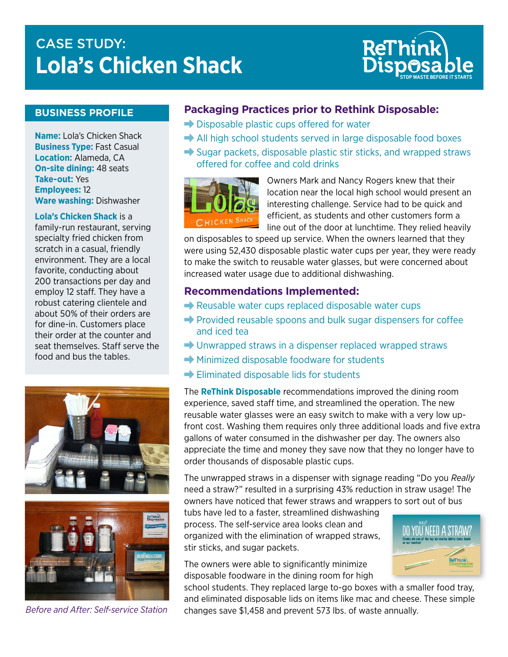# CASE STUDY:<br>The Logi Line of Logi Line of Line of Line ReT **Lola's Chicken Shack**



## **BUSINESS PROFILE**

**Name:** Lola's Chicken Shack **Business Type:** Fast Casual **Location:** Alameda, CA **On-site dining:** 48 seats **Take-out:** Yes **Employees:** 12 **Ware washing:** Dishwasher

#### **Lola's Chicken Shack** is a

family-run restaurant, serving specialty fried chicken from scratch in a casual, friendly environment. They are a local favorite, conducting about 200 transactions per day and employ 12 staff. They have a robust catering clientele and about 50% of their orders are for dine-in. Customers place their order at the counter and seat themselves. Staff serve the food and bus the tables.





*Before and After: Self-service Station*

#### **Packaging Practices prior to Rethink Disposable:**

- $\rightarrow$  Disposable plastic cups offered for water
- $\rightarrow$  All high school students served in large disposable food boxes
- $\rightarrow$  Sugar packets, disposable plastic stir sticks, and wrapped straws offered for coffee and cold drinks



Owners Mark and Nancy Rogers knew that their location near the local high school would present an interesting challenge. Service had to be quick and efficient, as students and other customers form a line out of the door at lunchtime. They relied heavily

on disposables to speed up service. When the owners learned that they were using 52,430 disposable plastic water cups per year, they were ready to make the switch to reusable water glasses, but were concerned about increased water usage due to additional dishwashing.

#### **Recommendations Implemented:**

- $\rightarrow$  Reusable water cups replaced disposable water cups
- $\rightarrow$  Provided reusable spoons and bulk sugar dispensers for coffee and iced tea
- $\rightarrow$  Unwrapped straws in a dispenser replaced wrapped straws
- $\rightarrow$  Minimized disposable foodware for students
- $\rightarrow$  Eliminated disposable lids for students

The **ReThink Disposable** recommendations improved the dining room experience, saved staff time, and streamlined the operation. The new reusable water glasses were an easy switch to make with a very low upfront cost. Washing them requires only three additional loads and five extra gallons of water consumed in the dishwasher per day. The owners also appreciate the time and money they save now that they no longer have to order thousands of disposable plastic cups.

The unwrapped straws in a dispenser with signage reading "Do you *Really* need a straw?" resulted in a surprising 43% reduction in straw usage! The owners have noticed that fewer straws and wrappers to sort out of bus

tubs have led to a faster, streamlined dishwashing process. The self-service area looks clean and organized with the elimination of wrapped straws, stir sticks, and sugar packets.

The owners were able to significantly minimize disposable foodware in the dining room for high



school students. They replaced large to-go boxes with a smaller food tray, and eliminated disposable lids on items like mac and cheese. These simple changes save \$1,458 and prevent 573 lbs. of waste annually.